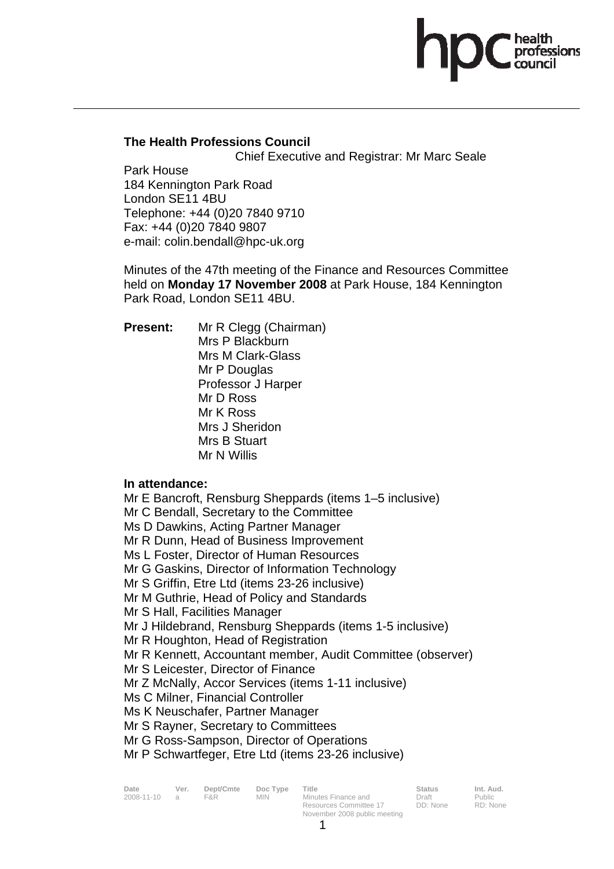# **The Health Professions Council**

Chief Executive and Registrar: Mr Marc Seale

Park House 184 Kennington Park Road London SE11 4BU Telephone: +44 (0)20 7840 9710 Fax: +44 (0)20 7840 9807 e-mail: colin.bendall@hpc-uk.org

Minutes of the 47th meeting of the Finance and Resources Committee held on **Monday 17 November 2008** at Park House, 184 Kennington Park Road, London SE11 4BU.

**Present:** Mr R Clegg (Chairman) Mrs P Blackburn Mrs M Clark-Glass Mr P Douglas Professor J Harper Mr D Ross Mr K Ross Mrs J Sheridon Mrs B Stuart Mr N Willis

## **In attendance:**

Mr E Bancroft, Rensburg Sheppards (items 1–5 inclusive) Mr C Bendall, Secretary to the Committee Ms D Dawkins, Acting Partner Manager Mr R Dunn, Head of Business Improvement Ms L Foster, Director of Human Resources Mr G Gaskins, Director of Information Technology Mr S Griffin, Etre Ltd (items 23-26 inclusive) Mr M Guthrie, Head of Policy and Standards Mr S Hall, Facilities Manager Mr J Hildebrand, Rensburg Sheppards (items 1-5 inclusive) Mr R Houghton, Head of Registration Mr R Kennett, Accountant member, Audit Committee (observer) Mr S Leicester, Director of Finance Mr Z McNally, Accor Services (items 1-11 inclusive) Ms C Milner, Financial Controller Ms K Neuschafer, Partner Manager Mr S Rayner, Secretary to Committees Mr G Ross-Sampson, Director of Operations

Mr P Schwartfeger, Etre Ltd (items 23-26 inclusive)

| Date       | Ver.           | Dept/Cmte | Doc Type   | Title                  | Status   | Int. Aud. |
|------------|----------------|-----------|------------|------------------------|----------|-----------|
| 2008-11-10 | $\overline{a}$ | F&R.      | <b>MIN</b> | Minutes Finance and    | Draft    | Public    |
|            |                |           |            | Resources Committee 17 | DD: None | RD: None  |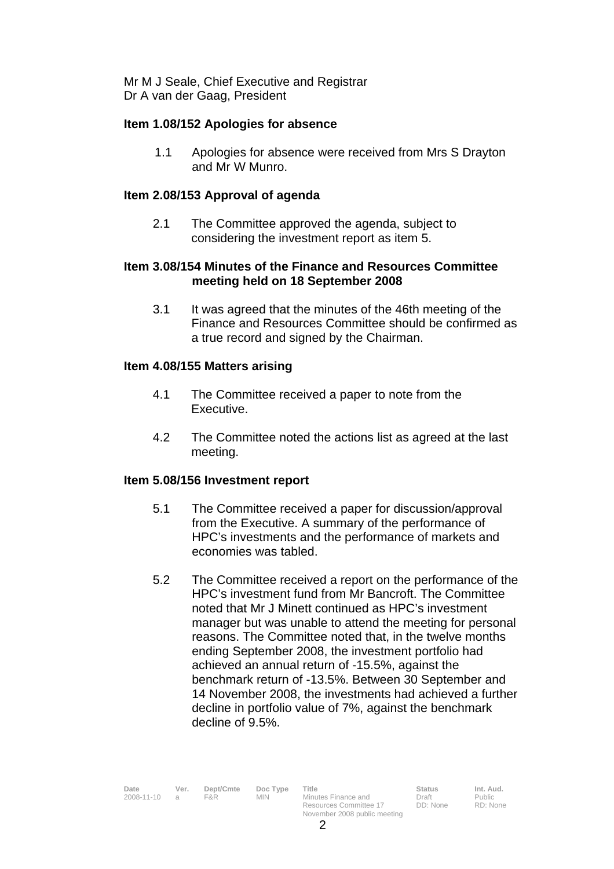Mr M J Seale, Chief Executive and Registrar Dr A van der Gaag, President

#### **Item 1.08/152 Apologies for absence**

1.1 Apologies for absence were received from Mrs S Drayton and Mr W Munro.

#### **Item 2.08/153 Approval of agenda**

 2.1 The Committee approved the agenda, subject to considering the investment report as item 5.

## **Item 3.08/154 Minutes of the Finance and Resources Committee meeting held on 18 September 2008**

3.1 It was agreed that the minutes of the 46th meeting of the Finance and Resources Committee should be confirmed as a true record and signed by the Chairman.

#### **Item 4.08/155 Matters arising**

- 4.1 The Committee received a paper to note from the Executive.
- 4.2 The Committee noted the actions list as agreed at the last meeting.

#### **Item 5.08/156 Investment report**

- 5.1 The Committee received a paper for discussion/approval from the Executive. A summary of the performance of HPC's investments and the performance of markets and economies was tabled.
- 5.2 The Committee received a report on the performance of the HPC's investment fund from Mr Bancroft. The Committee noted that Mr J Minett continued as HPC's investment manager but was unable to attend the meeting for personal reasons. The Committee noted that, in the twelve months ending September 2008, the investment portfolio had achieved an annual return of -15.5%, against the benchmark return of -13.5%. Between 30 September and 14 November 2008, the investments had achieved a further decline in portfolio value of 7%, against the benchmark decline of 9.5%.

| Date<br>2008-11-10 | Ver.<br>$\overline{a}$ | Dept/Cmte<br>F&R. | Doc Type<br><b>MIN</b> | Title<br>Minutes Finance and<br>Resources Committee 17 | <b>Status</b><br>Draft<br>DD: None | Int. Aud.<br>Public<br>RD: None |
|--------------------|------------------------|-------------------|------------------------|--------------------------------------------------------|------------------------------------|---------------------------------|
|                    |                        |                   |                        | November 2008 public meeting                           |                                    |                                 |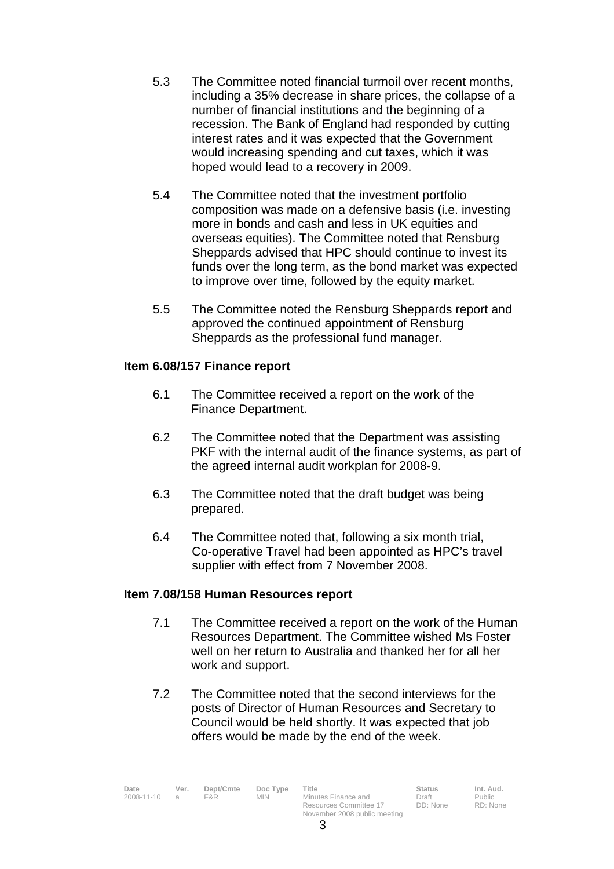- 5.3 The Committee noted financial turmoil over recent months, including a 35% decrease in share prices, the collapse of a number of financial institutions and the beginning of a recession. The Bank of England had responded by cutting interest rates and it was expected that the Government would increasing spending and cut taxes, which it was hoped would lead to a recovery in 2009.
- 5.4 The Committee noted that the investment portfolio composition was made on a defensive basis (i.e. investing more in bonds and cash and less in UK equities and overseas equities). The Committee noted that Rensburg Sheppards advised that HPC should continue to invest its funds over the long term, as the bond market was expected to improve over time, followed by the equity market.
- 5.5 The Committee noted the Rensburg Sheppards report and approved the continued appointment of Rensburg Sheppards as the professional fund manager.

## **Item 6.08/157 Finance report**

- 6.1 The Committee received a report on the work of the Finance Department.
- 6.2 The Committee noted that the Department was assisting PKF with the internal audit of the finance systems, as part of the agreed internal audit workplan for 2008-9.
- 6.3 The Committee noted that the draft budget was being prepared.
- 6.4 The Committee noted that, following a six month trial, Co-operative Travel had been appointed as HPC's travel supplier with effect from 7 November 2008.

## **Item 7.08/158 Human Resources report**

- 7.1 The Committee received a report on the work of the Human Resources Department. The Committee wished Ms Foster well on her return to Australia and thanked her for all her work and support.
- 7.2 The Committee noted that the second interviews for the posts of Director of Human Resources and Secretary to Council would be held shortly. It was expected that job offers would be made by the end of the week.

| Date<br>Ver.<br>2008-11-10<br>$\mathcal{A}$ | Dept/Cmte<br>F&R | Doc Type<br><b>MIN</b> | Title<br>Minutes Finance and | <b>Status</b><br>Draft | Int. Aud.<br>Public |
|---------------------------------------------|------------------|------------------------|------------------------------|------------------------|---------------------|
|                                             |                  |                        | Resources Committee 17       | DD: None               | RD: None            |
|                                             |                  |                        | November 2008 public meeting |                        |                     |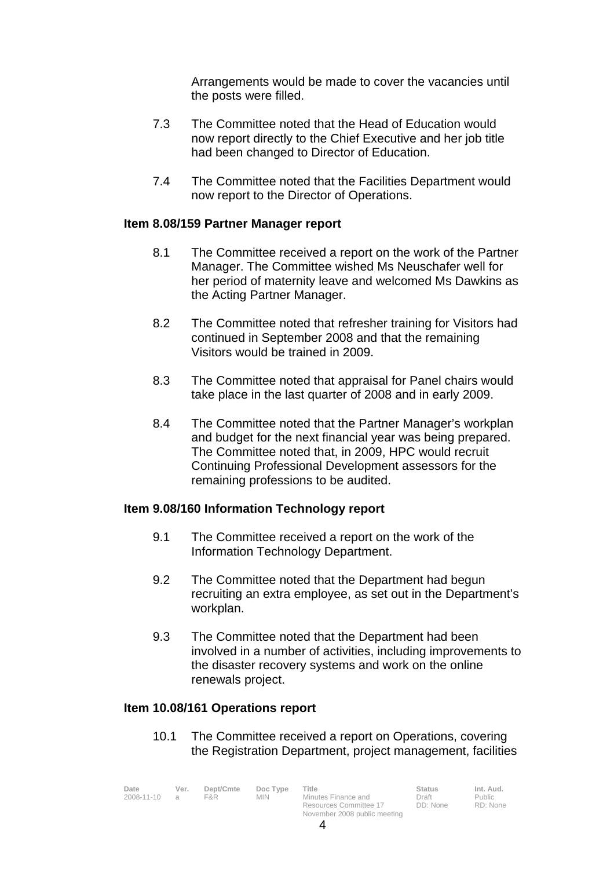Arrangements would be made to cover the vacancies until the posts were filled.

- 7.3 The Committee noted that the Head of Education would now report directly to the Chief Executive and her job title had been changed to Director of Education.
- 7.4 The Committee noted that the Facilities Department would now report to the Director of Operations.

#### **Item 8.08/159 Partner Manager report**

- 8.1 The Committee received a report on the work of the Partner Manager. The Committee wished Ms Neuschafer well for her period of maternity leave and welcomed Ms Dawkins as the Acting Partner Manager.
- 8.2 The Committee noted that refresher training for Visitors had continued in September 2008 and that the remaining Visitors would be trained in 2009.
- 8.3 The Committee noted that appraisal for Panel chairs would take place in the last quarter of 2008 and in early 2009.
- 8.4 The Committee noted that the Partner Manager's workplan and budget for the next financial year was being prepared. The Committee noted that, in 2009, HPC would recruit Continuing Professional Development assessors for the remaining professions to be audited.

## **Item 9.08/160 Information Technology report**

- 9.1 The Committee received a report on the work of the Information Technology Department.
- 9.2 The Committee noted that the Department had begun recruiting an extra employee, as set out in the Department's workplan.
- 9.3 The Committee noted that the Department had been involved in a number of activities, including improvements to the disaster recovery systems and work on the online renewals project.

## **Item 10.08/161 Operations report**

10.1 The Committee received a report on Operations, covering the Registration Department, project management, facilities

| Date<br>2008-11-10 | Ver.<br>$\overline{a}$ | Dept/Cmte<br>F&R. | Doc Type<br><b>MIN</b> | Title<br>Minutes Finance and                           | <b>Status</b><br>Draft | Int. Aud.<br>Public |
|--------------------|------------------------|-------------------|------------------------|--------------------------------------------------------|------------------------|---------------------|
|                    |                        |                   |                        | Resources Committee 17<br>November 2008 public meeting | DD: None               | RD: None            |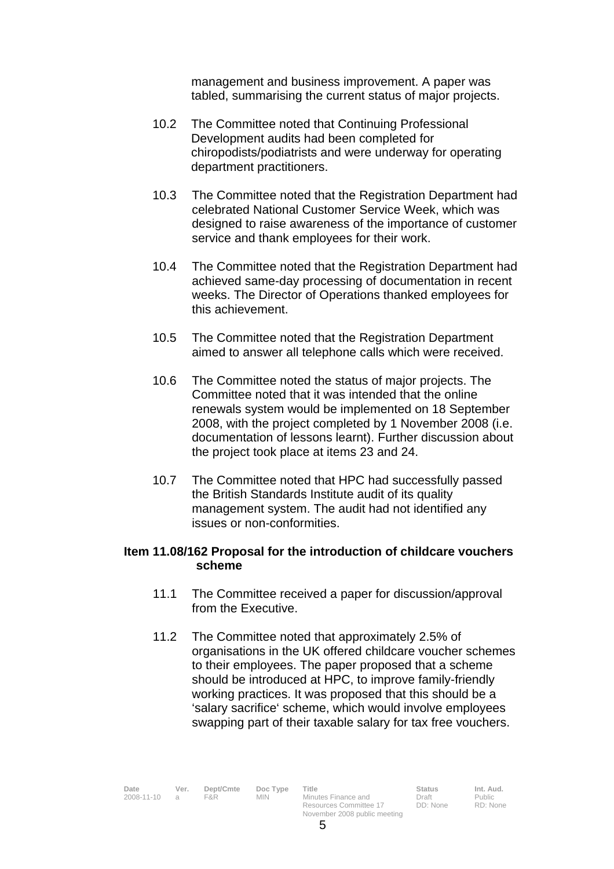management and business improvement. A paper was tabled, summarising the current status of major projects.

- 10.2 The Committee noted that Continuing Professional Development audits had been completed for chiropodists/podiatrists and were underway for operating department practitioners.
- 10.3 The Committee noted that the Registration Department had celebrated National Customer Service Week, which was designed to raise awareness of the importance of customer service and thank employees for their work.
- 10.4 The Committee noted that the Registration Department had achieved same-day processing of documentation in recent weeks. The Director of Operations thanked employees for this achievement.
- 10.5 The Committee noted that the Registration Department aimed to answer all telephone calls which were received.
- 10.6 The Committee noted the status of major projects. The Committee noted that it was intended that the online renewals system would be implemented on 18 September 2008, with the project completed by 1 November 2008 (i.e. documentation of lessons learnt). Further discussion about the project took place at items 23 and 24.
- 10.7 The Committee noted that HPC had successfully passed the British Standards Institute audit of its quality management system. The audit had not identified any issues or non-conformities.

#### **Item 11.08/162 Proposal for the introduction of childcare vouchers scheme**

- 11.1 The Committee received a paper for discussion/approval from the Executive.
- 11.2 The Committee noted that approximately 2.5% of organisations in the UK offered childcare voucher schemes to their employees. The paper proposed that a scheme should be introduced at HPC, to improve family-friendly working practices. It was proposed that this should be a 'salary sacrifice' scheme, which would involve employees swapping part of their taxable salary for tax free vouchers.

Date Ver. Dept/Cmte Doc<sup>Type</sup> Title **Status Int. Aud.** 2008-11-10 a F&R MIN Minutes Finance and Draft Public Public<br>2008-11-10 a F&R MIN Minutes Finance and Draft Public

Resources Committee 17 November 2008 public meeting DD: None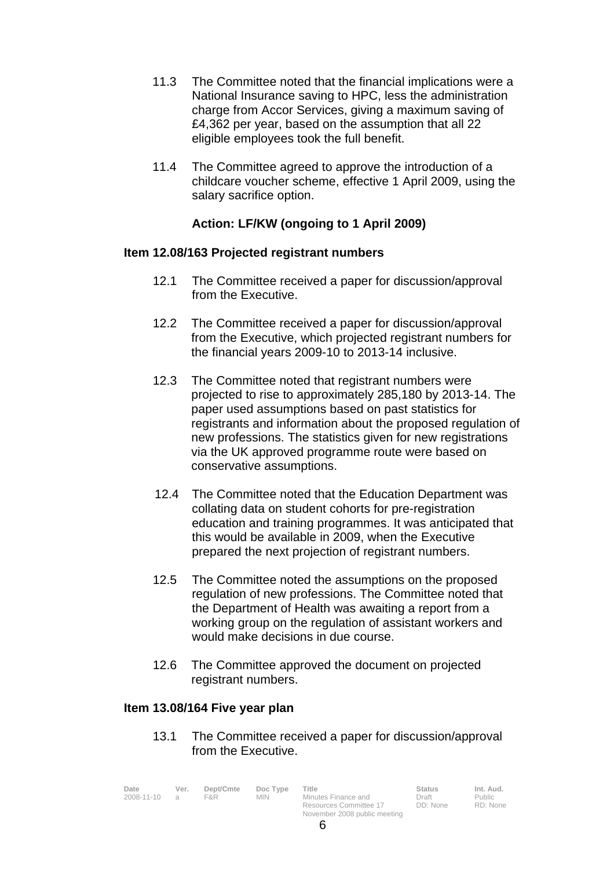- 11.3 The Committee noted that the financial implications were a National Insurance saving to HPC, less the administration charge from Accor Services, giving a maximum saving of £4,362 per year, based on the assumption that all 22 eligible employees took the full benefit.
- 11.4 The Committee agreed to approve the introduction of a childcare voucher scheme, effective 1 April 2009, using the salary sacrifice option.

# **Action: LF/KW (ongoing to 1 April 2009)**

#### **Item 12.08/163 Projected registrant numbers**

- 12.1 The Committee received a paper for discussion/approval from the Executive.
- 12.2 The Committee received a paper for discussion/approval from the Executive, which projected registrant numbers for the financial years 2009-10 to 2013-14 inclusive.
- 12.3 The Committee noted that registrant numbers were projected to rise to approximately 285,180 by 2013-14. The paper used assumptions based on past statistics for registrants and information about the proposed regulation of new professions. The statistics given for new registrations via the UK approved programme route were based on conservative assumptions.
- 12.4 The Committee noted that the Education Department was collating data on student cohorts for pre-registration education and training programmes. It was anticipated that this would be available in 2009, when the Executive prepared the next projection of registrant numbers.
- 12.5 The Committee noted the assumptions on the proposed regulation of new professions. The Committee noted that the Department of Health was awaiting a report from a working group on the regulation of assistant workers and would make decisions in due course.
- 12.6 The Committee approved the document on projected registrant numbers.

## **Item 13.08/164 Five year plan**

13.1 The Committee received a paper for discussion/approval from the Executive.

| Date       | Ver.   | Dept/Cmte | Doc Type | Title                  | <b>Status</b> | Int. Aud. |
|------------|--------|-----------|----------|------------------------|---------------|-----------|
| 2008-11-10 | $\Box$ | F&R.      | MIN      | Minutes Finance and    | Draft         | Public    |
|            |        |           |          | Resources Committee 17 | DD: None      | RD: None  |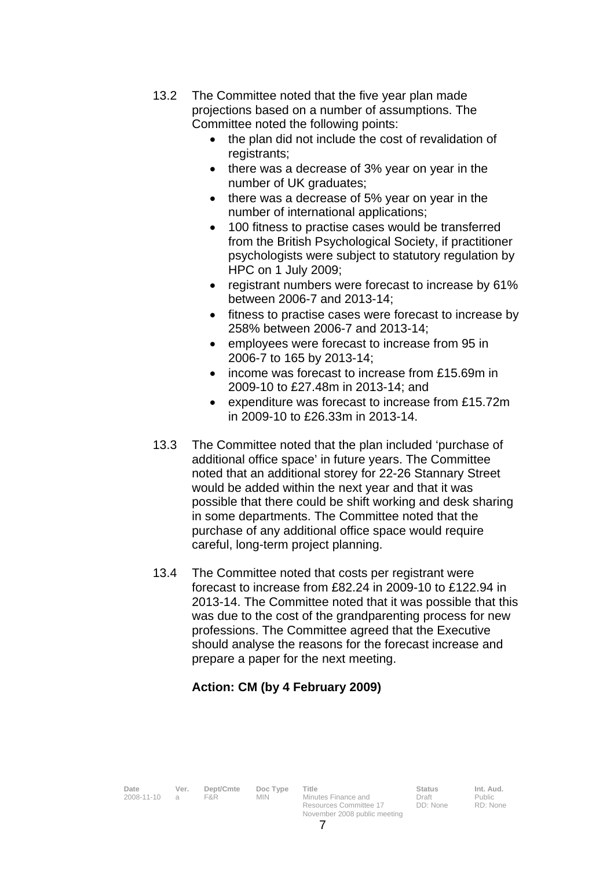- 13.2 The Committee noted that the five year plan made projections based on a number of assumptions. The Committee noted the following points:
	- the plan did not include the cost of revalidation of registrants;
	- there was a decrease of 3% year on year in the number of UK graduates;
	- there was a decrease of 5% year on year in the number of international applications;
	- 100 fitness to practise cases would be transferred from the British Psychological Society, if practitioner psychologists were subject to statutory regulation by HPC on 1 July 2009;
	- registrant numbers were forecast to increase by 61% between 2006-7 and 2013-14;
	- fitness to practise cases were forecast to increase by 258% between 2006-7 and 2013-14;
	- employees were forecast to increase from 95 in 2006-7 to 165 by 2013-14;
	- income was forecast to increase from £15.69m in 2009-10 to £27.48m in 2013-14; and
	- expenditure was forecast to increase from £15.72m in 2009-10 to £26.33m in 2013-14.
- 13.3 The Committee noted that the plan included 'purchase of additional office space' in future years. The Committee noted that an additional storey for 22-26 Stannary Street would be added within the next year and that it was possible that there could be shift working and desk sharing in some departments. The Committee noted that the purchase of any additional office space would require careful, long-term project planning.
- 13.4 The Committee noted that costs per registrant were forecast to increase from £82.24 in 2009-10 to £122.94 in 2013-14. The Committee noted that it was possible that this was due to the cost of the grandparenting process for new professions. The Committee agreed that the Executive should analyse the reasons for the forecast increase and prepare a paper for the next meeting.

# **Action: CM (by 4 February 2009)**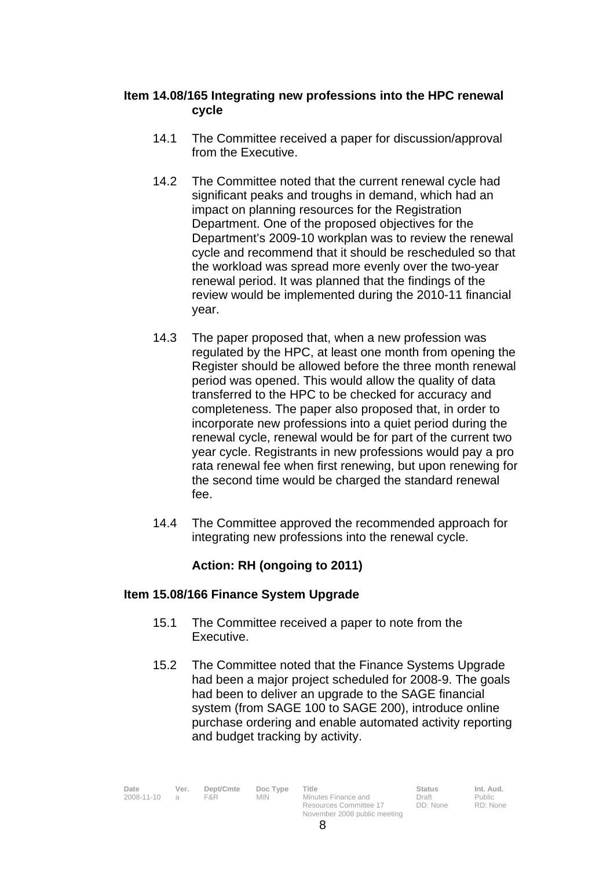## **Item 14.08/165 Integrating new professions into the HPC renewal cycle**

- 14.1 The Committee received a paper for discussion/approval from the Executive.
- 14.2 The Committee noted that the current renewal cycle had significant peaks and troughs in demand, which had an impact on planning resources for the Registration Department. One of the proposed objectives for the Department's 2009-10 workplan was to review the renewal cycle and recommend that it should be rescheduled so that the workload was spread more evenly over the two-year renewal period. It was planned that the findings of the review would be implemented during the 2010-11 financial year.
- 14.3 The paper proposed that, when a new profession was regulated by the HPC, at least one month from opening the Register should be allowed before the three month renewal period was opened. This would allow the quality of data transferred to the HPC to be checked for accuracy and completeness. The paper also proposed that, in order to incorporate new professions into a quiet period during the renewal cycle, renewal would be for part of the current two year cycle. Registrants in new professions would pay a pro rata renewal fee when first renewing, but upon renewing for the second time would be charged the standard renewal fee.
- 14.4 The Committee approved the recommended approach for integrating new professions into the renewal cycle.

# **Action: RH (ongoing to 2011)**

## **Item 15.08/166 Finance System Upgrade**

- 15.1 The Committee received a paper to note from the Executive.
- 15.2 The Committee noted that the Finance Systems Upgrade had been a major project scheduled for 2008-9. The goals had been to deliver an upgrade to the SAGE financial system (from SAGE 100 to SAGE 200), introduce online purchase ordering and enable automated activity reporting and budget tracking by activity.

| Date<br>2008-11-10 | Ver. | Dept/Cmte<br>F&R | Doc Type<br>MIN. | Title<br>Minutes Finance and                           | <b>Status</b><br>Draft | Int. Aud.<br>Public |
|--------------------|------|------------------|------------------|--------------------------------------------------------|------------------------|---------------------|
|                    |      |                  |                  | Resources Committee 17<br>November 2008 public meeting | DD: None               | RD: None            |

RD: None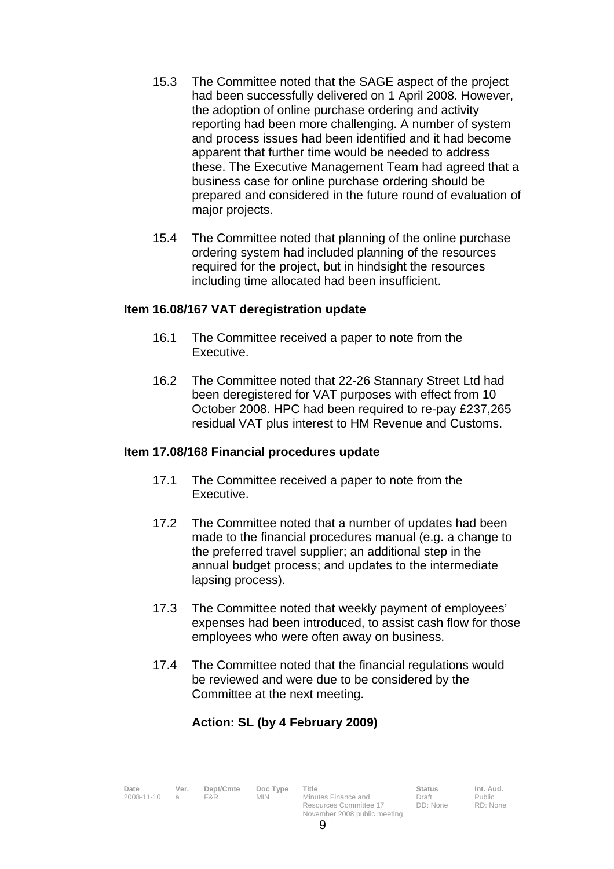- 15.3 The Committee noted that the SAGE aspect of the project had been successfully delivered on 1 April 2008. However, the adoption of online purchase ordering and activity reporting had been more challenging. A number of system and process issues had been identified and it had become apparent that further time would be needed to address these. The Executive Management Team had agreed that a business case for online purchase ordering should be prepared and considered in the future round of evaluation of major projects.
- 15.4 The Committee noted that planning of the online purchase ordering system had included planning of the resources required for the project, but in hindsight the resources including time allocated had been insufficient.

#### **Item 16.08/167 VAT deregistration update**

- 16.1 The Committee received a paper to note from the Executive.
- 16.2 The Committee noted that 22-26 Stannary Street Ltd had been deregistered for VAT purposes with effect from 10 October 2008. HPC had been required to re-pay £237,265 residual VAT plus interest to HM Revenue and Customs.

## **Item 17.08/168 Financial procedures update**

- 17.1 The Committee received a paper to note from the Executive.
- 17.2 The Committee noted that a number of updates had been made to the financial procedures manual (e.g. a change to the preferred travel supplier; an additional step in the annual budget process; and updates to the intermediate lapsing process).
- 17.3 The Committee noted that weekly payment of employees' expenses had been introduced, to assist cash flow for those employees who were often away on business.
- 17.4 The Committee noted that the financial regulations would be reviewed and were due to be considered by the Committee at the next meeting.

# **Action: SL (by 4 February 2009)**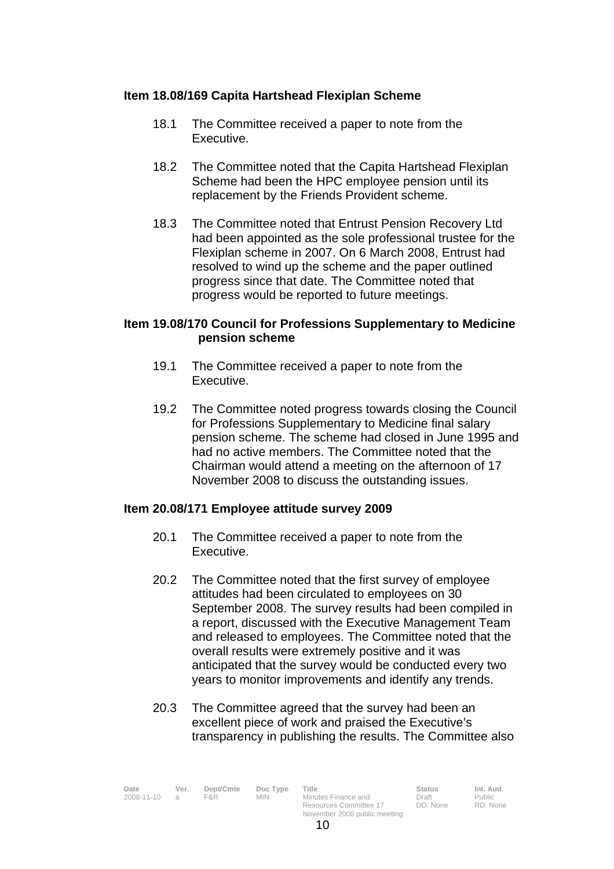## **Item 18.08/169 Capita Hartshead Flexiplan Scheme**

- 18.1 The Committee received a paper to note from the Executive.
- 18.2 The Committee noted that the Capita Hartshead Flexiplan Scheme had been the HPC employee pension until its replacement by the Friends Provident scheme.
- 18.3 The Committee noted that Entrust Pension Recovery Ltd had been appointed as the sole professional trustee for the Flexiplan scheme in 2007. On 6 March 2008, Entrust had resolved to wind up the scheme and the paper outlined progress since that date. The Committee noted that progress would be reported to future meetings.

#### **Item 19.08/170 Council for Professions Supplementary to Medicine pension scheme**

- 19.1 The Committee received a paper to note from the Executive.
- 19.2 The Committee noted progress towards closing the Council for Professions Supplementary to Medicine final salary pension scheme. The scheme had closed in June 1995 and had no active members. The Committee noted that the Chairman would attend a meeting on the afternoon of 17 November 2008 to discuss the outstanding issues.

#### **Item 20.08/171 Employee attitude survey 2009**

- 20.1 The Committee received a paper to note from the Executive.
- 20.2 The Committee noted that the first survey of employee attitudes had been circulated to employees on 30 September 2008. The survey results had been compiled in a report, discussed with the Executive Management Team and released to employees. The Committee noted that the overall results were extremely positive and it was anticipated that the survey would be conducted every two years to monitor improvements and identify any trends.
- 20.3 The Committee agreed that the survey had been an excellent piece of work and praised the Executive's transparency in publishing the results. The Committee also

| Date       | Ver.   | Dept/Cmte | Doc Type | Title                  | <b>Status</b> | Int. Aud. |
|------------|--------|-----------|----------|------------------------|---------------|-----------|
| 2008-11-10 | $\Box$ | F&R.      | MIN      | Minutes Finance and    | Draft         | Public    |
|            |        |           |          | Resources Committee 17 | DD: None      | RD: None  |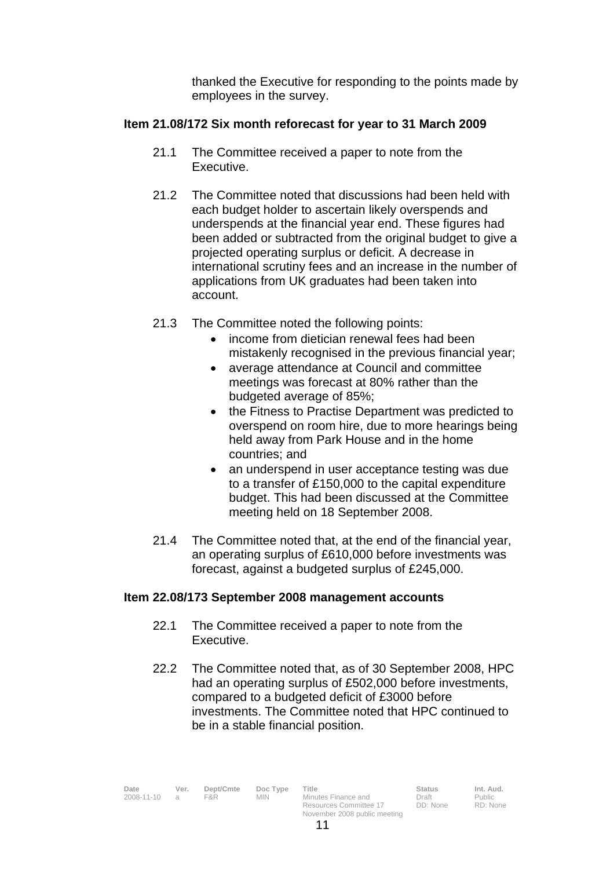thanked the Executive for responding to the points made by employees in the survey.

## **Item 21.08/172 Six month reforecast for year to 31 March 2009**

- 21.1 The Committee received a paper to note from the Executive.
- 21.2 The Committee noted that discussions had been held with each budget holder to ascertain likely overspends and underspends at the financial year end. These figures had been added or subtracted from the original budget to give a projected operating surplus or deficit. A decrease in international scrutiny fees and an increase in the number of applications from UK graduates had been taken into account.
- 21.3 The Committee noted the following points:
	- income from dietician renewal fees had been mistakenly recognised in the previous financial year;
	- average attendance at Council and committee meetings was forecast at 80% rather than the budgeted average of 85%;
	- the Fitness to Practise Department was predicted to overspend on room hire, due to more hearings being held away from Park House and in the home countries; and
	- an underspend in user acceptance testing was due to a transfer of £150,000 to the capital expenditure budget. This had been discussed at the Committee meeting held on 18 September 2008.
- 21.4 The Committee noted that, at the end of the financial year, an operating surplus of £610,000 before investments was forecast, against a budgeted surplus of £245,000.

## **Item 22.08/173 September 2008 management accounts**

- 22.1 The Committee received a paper to note from the Executive.
- 22.2 The Committee noted that, as of 30 September 2008, HPC had an operating surplus of £502,000 before investments, compared to a budgeted deficit of £3000 before investments. The Committee noted that HPC continued to be in a stable financial position.

| Date<br>2008-11-10<br>$\alpha$ | Ver. | Dept/Cmte<br>F&R. | Doc Type<br>MIN. | Title<br>Minutes Finance and<br>Resources Committee 17 | <b>Status</b><br>Draft<br>DD: None | Int. Aud.<br>Public<br>RD: None |
|--------------------------------|------|-------------------|------------------|--------------------------------------------------------|------------------------------------|---------------------------------|
|                                |      |                   |                  |                                                        |                                    |                                 |
|                                |      |                   |                  | November 2008 public meeting                           |                                    |                                 |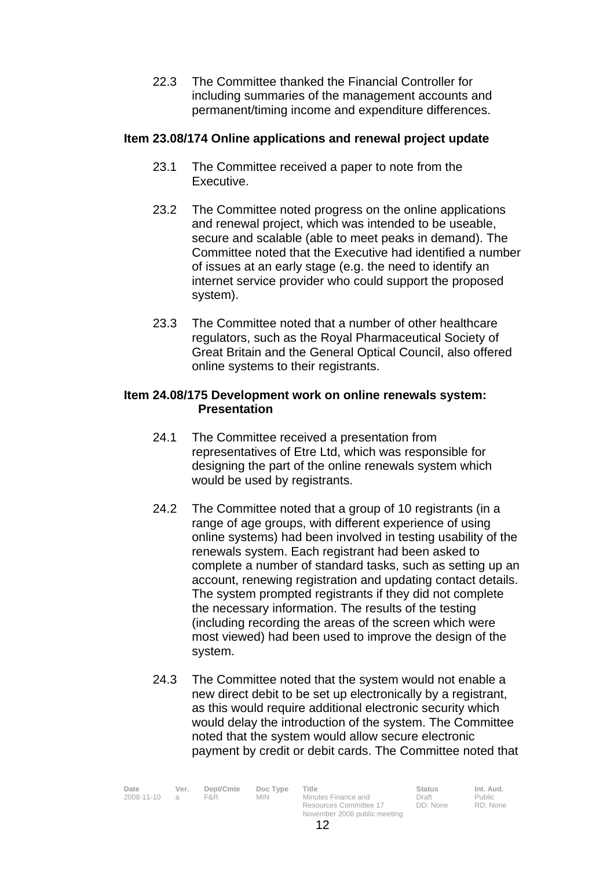22.3 The Committee thanked the Financial Controller for including summaries of the management accounts and permanent/timing income and expenditure differences.

## **Item 23.08/174 Online applications and renewal project update**

- 23.1 The Committee received a paper to note from the Executive.
- 23.2 The Committee noted progress on the online applications and renewal project, which was intended to be useable, secure and scalable (able to meet peaks in demand). The Committee noted that the Executive had identified a number of issues at an early stage (e.g. the need to identify an internet service provider who could support the proposed system).
- 23.3 The Committee noted that a number of other healthcare regulators, such as the Royal Pharmaceutical Society of Great Britain and the General Optical Council, also offered online systems to their registrants.

#### **Item 24.08/175 Development work on online renewals system: Presentation**

- 24.1 The Committee received a presentation from representatives of Etre Ltd, which was responsible for designing the part of the online renewals system which would be used by registrants.
- 24.2 The Committee noted that a group of 10 registrants (in a range of age groups, with different experience of using online systems) had been involved in testing usability of the renewals system. Each registrant had been asked to complete a number of standard tasks, such as setting up an account, renewing registration and updating contact details. The system prompted registrants if they did not complete the necessary information. The results of the testing (including recording the areas of the screen which were most viewed) had been used to improve the design of the system.
- 24.3 The Committee noted that the system would not enable a new direct debit to be set up electronically by a registrant, as this would require additional electronic security which would delay the introduction of the system. The Committee noted that the system would allow secure electronic payment by credit or debit cards. The Committee noted that

| Date<br>2008-11-10 | Ver.<br>$\Box$ | Dept/Cmte<br>F&R | Doc Type<br>MIN. | Title<br>Minutes Finance and                           | <b>Status</b><br>Draft | Int. Aud.<br>Public |
|--------------------|----------------|------------------|------------------|--------------------------------------------------------|------------------------|---------------------|
|                    |                |                  |                  | Resources Committee 17<br>November 2008 public meeting | DD: None               | RD: None            |